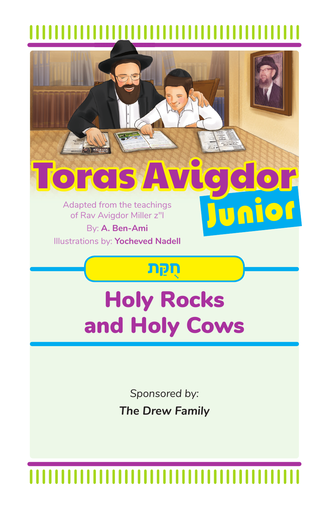

**The Drew Family**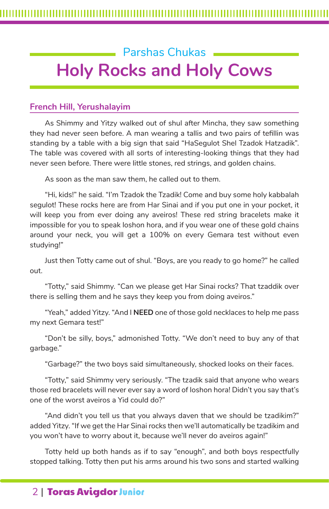# Parshas Chukas **Holy Rocks and Holy Cows**

### **French Hill, Yerushalayim**

As Shimmy and Yitzy walked out of shul after Mincha, they saw something they had never seen before. A man wearing a tallis and two pairs of tefillin was standing by a table with a big sign that said "HaSegulot Shel Tzadok Hatzadik". The table was covered with all sorts of interesting-looking things that they had never seen before. There were little stones, red strings, and golden chains.

As soon as the man saw them, he called out to them.

"Hi, kids!" he said. "I'm Tzadok the Tzadik! Come and buy some holy kabbalah segulot! These rocks here are from Har Sinai and if you put one in your pocket, it will keep you from ever doing any aveiros! These red string bracelets make it impossible for you to speak loshon hora, and if you wear one of these gold chains around your neck, you will get a 100% on every Gemara test without even studying!"

Just then Totty came out of shul. "Boys, are you ready to go home?" he called out.

"Totty," said Shimmy. "Can we please get Har Sinai rocks? That tzaddik over there is selling them and he says they keep you from doing aveiros."

"Yeah," added Yitzy. "And I **NEED** one of those gold necklaces to help me pass my next Gemara test!"

"Don't be silly, boys," admonished Totty. "We don't need to buy any of that garbage."

"Garbage?" the two boys said simultaneously, shocked looks on their faces.

"Totty," said Shimmy very seriously. "The tzadik said that anyone who wears those red bracelets will never ever say a word of loshon hora! Didn't you say that's one of the worst aveiros a Yid could do?"

"And didn't you tell us that you always daven that we should be tzadikim?" added Yitzy. "If we get the Har Sinai rocks then we'll automatically be tzadikim and you won't have to worry about it, because we'll never do aveiros again!"

Totty held up both hands as if to say "enough", and both boys respectfully stopped talking. Totty then put his arms around his two sons and started walking

## 2 | Toras Avigdor Junior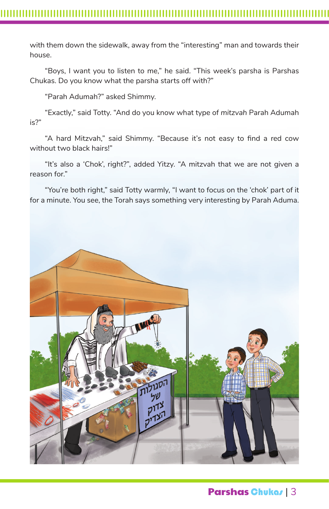with them down the sidewalk, away from the "interesting" man and towards their house.

"Boys, I want you to listen to me," he said. "This week's parsha is Parshas Chukas. Do you know what the parsha starts off with?"

"Parah Adumah?" asked Shimmy.

"Exactly," said Totty. "And do you know what type of *mitzvah* Parah Adumah is?"

"A hard Mitzvah," said Shimmy. "Because it's not easy to find a red cow without two black hairs!"

"It's also a 'Chok', right?", added Yitzy. "A mitzvah that we are not given a reason for."

"You're both right," said Totty warmly, "I want to focus on the 'chok' part of it for a minute. You see, the Torah says something very interesting by Parah Aduma.